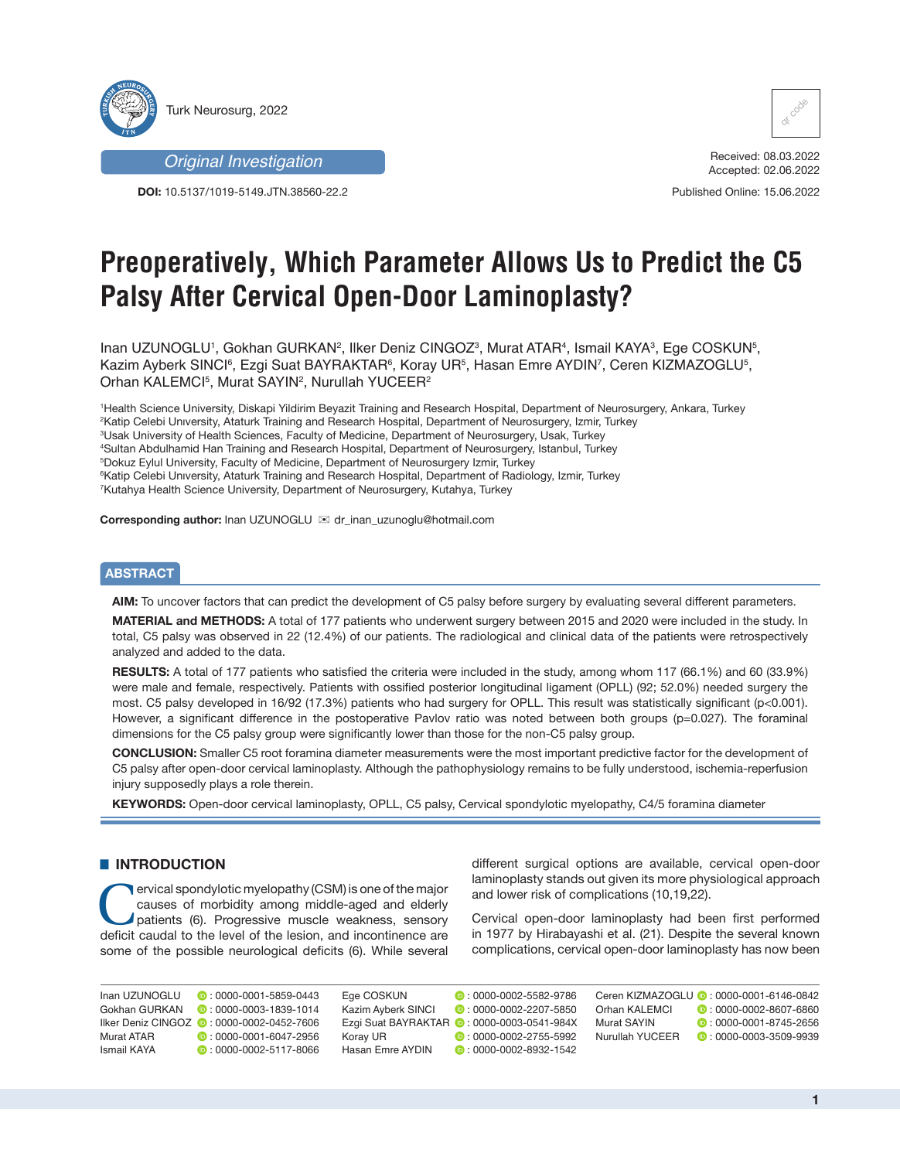

*Original Investigation*

**DOI:** 10.5137/1019-5149.JTN.38560-22.2



Received: 08.03.2022 Accepted: 02.06.2022

Published Online: 15.06.2022

# **Preoperatively, Which Parameter Allows Us to Predict the C5 Palsy After Cervical Open-Door Laminoplasty?**

Inan UZUNOGLU<sup>1</sup>, Gokhan GURKAN<sup>2</sup>, Ilker Deniz CINGOZ<sup>3</sup>, Murat ATAR<sup>4</sup>, Ismail KAYA<sup>3</sup>, Ege COSKUN<sup>5</sup>, Kazim Ayberk SINCl<sup>6</sup>, Ezgi Suat BAYRAKTAR<sup>6</sup>, Koray UR<sup>5</sup>, Hasan Emre AYDIN<sup>7</sup>, Ceren KIZMAZOGLU<sup>5</sup>, Orhan KALEMCI5, Murat SAYIN<sup>2</sup>, Nurullah YUCEER<sup>2</sup>

 Health Science University, Diskapi Yildirim Beyazit Training and Research Hospital, Department of Neurosurgery, Ankara, Turkey Katip Celebi Unıversity, Ataturk Training and Research Hospital, Department of Neurosurgery, Izmir, Turkey Usak University of Health Sciences, Faculty of Medicine, Department of Neurosurgery, Usak, Turkey Sultan Abdulhamid Han Training and Research Hospital, Department of Neurosurgery, Istanbul, Turkey Dokuz Eylul University, Faculty of Medicine, Department of Neurosurgery Izmir, Turkey Katip Celebi Unıversity, Ataturk Training and Research Hospital, Department of Radiology, Izmir, Turkey Kutahya Health Science University, Department of Neurosurgery, Kutahya, Turkey

**Corresponding author:** Inan UZUNOGLU <sup>im</sup> dr\_inan\_uzunoglu@hotmail.com

## **ABSTRACT**

**AIM:** To uncover factors that can predict the development of C5 palsy before surgery by evaluating several different parameters.

**MATERIAL and METHODS:** A total of 177 patients who underwent surgery between 2015 and 2020 were included in the study. In total, C5 palsy was observed in 22 (12.4%) of our patients. The radiological and clinical data of the patients were retrospectively analyzed and added to the data.

**RESULTS:** A total of 177 patients who satisfied the criteria were included in the study, among whom 117 (66.1%) and 60 (33.9%) were male and female, respectively. Patients with ossified posterior longitudinal ligament (OPLL) (92; 52.0%) needed surgery the most. C5 palsy developed in 16/92 (17.3%) patients who had surgery for OPLL. This result was statistically significant (p<0.001). However, a significant difference in the postoperative Pavlov ratio was noted between both groups (p=0.027). The foraminal dimensions for the C5 palsy group were significantly lower than those for the non-C5 palsy group.

**CONCLUSION:** Smaller C5 root foramina diameter measurements were the most important predictive factor for the development of C5 palsy after open-door cervical laminoplasty. Although the pathophysiology remains to be fully understood, ischemia-reperfusion injury supposedly plays a role therein.

**KEYWORDS:** Open-door cervical laminoplasty, OPLL, C5 palsy, Cervical spondylotic myelopathy, C4/5 foramina diameter

# **E INTRODUCTION**

**CERVICAL Spondylotic myelopathy (CSM) is one of the major** causes of morbidity among middle-aged and elderly patients (6). Progressive muscle weakness, sensory deficit caudal to the level of the lesion, and incontinence are some of the possible neurological deficits (6). While several

different surgical options are available, cervical open-door laminoplasty stands out given its more physiological approach and lower risk of complications (10,19,22).

Cervical open-door laminoplasty had been first performed in 1977 by Hirabayashi et al. (21). Despite the several known complications, cervical open-door laminoplasty has now been

Inan UZUNOGLU : 0000-0001-5859-0443

Gokhan GURKAN **D** 0000-0003-1839-1014 Ilker Deniz CINGOZ ( : 0000-0002-0452-7606 Murat ATAR  $\bullet$  0000-0001-6047-2956 Ismail KAYA : 0000-0002-5117-8066

Ege COSKUN 0000-0002-5582-9786 Kazim Ayberk SINCI **:** 0000-0002-2207-5850 Ezgi Suat BAYRAKTAR **:** 0000-0003-0541-984X Koray UR **:** 0000-0002-2755-5992 Hasan Emre AYDIN **D**: 0000-0002-8932-1542

Ceren KIZMAZOGLU **D** · 0000-0001-6146-0842 Orhan KALEMCI  $\bullet$  0000-0002-8607-6860 Murat SAYIN **D**: 0000-0001-8745-2656

Nurullah YUCEER **:** 0000-0003-3509-9939

**1**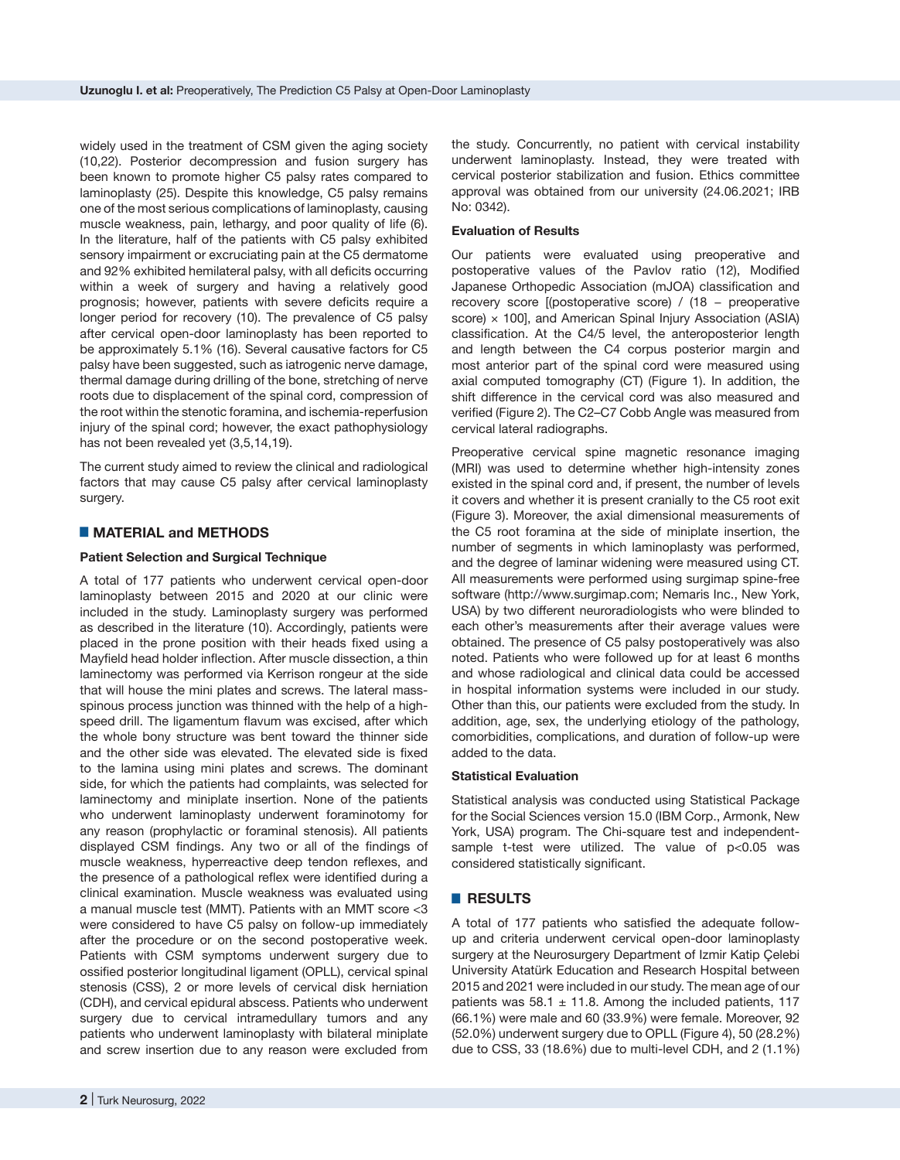widely used in the treatment of CSM given the aging society (10,22). Posterior decompression and fusion surgery has been known to promote higher C5 palsy rates compared to laminoplasty (25). Despite this knowledge, C5 palsy remains one of the most serious complications of laminoplasty, causing muscle weakness, pain, lethargy, and poor quality of life (6). In the literature, half of the patients with C5 palsy exhibited sensory impairment or excruciating pain at the C5 dermatome and 92% exhibited hemilateral palsy, with all deficits occurring within a week of surgery and having a relatively good prognosis; however, patients with severe deficits require a longer period for recovery (10). The prevalence of C5 palsy after cervical open-door laminoplasty has been reported to be approximately 5.1% (16). Several causative factors for C5 palsy have been suggested, such as iatrogenic nerve damage, thermal damage during drilling of the bone, stretching of nerve roots due to displacement of the spinal cord, compression of the root within the stenotic foramina, and ischemia-reperfusion injury of the spinal cord; however, the exact pathophysiology has not been revealed yet (3,5,14,19).

The current study aimed to review the clinical and radiological factors that may cause C5 palsy after cervical laminoplasty surgery.

# █ **MATERIAL and METHODS**

### **Patient Selection and Surgical Technique**

A total of 177 patients who underwent cervical open-door laminoplasty between 2015 and 2020 at our clinic were included in the study. Laminoplasty surgery was performed as described in the literature (10). Accordingly, patients were placed in the prone position with their heads fixed using a Mayfield head holder inflection. After muscle dissection, a thin laminectomy was performed via Kerrison rongeur at the side that will house the mini plates and screws. The lateral massspinous process junction was thinned with the help of a highspeed drill. The ligamentum flavum was excised, after which the whole bony structure was bent toward the thinner side and the other side was elevated. The elevated side is fixed to the lamina using mini plates and screws. The dominant side, for which the patients had complaints, was selected for laminectomy and miniplate insertion. None of the patients who underwent laminoplasty underwent foraminotomy for any reason (prophylactic or foraminal stenosis). All patients displayed CSM findings. Any two or all of the findings of muscle weakness, hyperreactive deep tendon reflexes, and the presence of a pathological reflex were identified during a clinical examination. Muscle weakness was evaluated using a manual muscle test (MMT). Patients with an MMT score <3 were considered to have C5 palsy on follow-up immediately after the procedure or on the second postoperative week. Patients with CSM symptoms underwent surgery due to ossified posterior longitudinal ligament (OPLL), cervical spinal stenosis (CSS), 2 or more levels of cervical disk herniation (CDH), and cervical epidural abscess. Patients who underwent surgery due to cervical intramedullary tumors and any patients who underwent laminoplasty with bilateral miniplate and screw insertion due to any reason were excluded from

the study. Concurrently, no patient with cervical instability underwent laminoplasty. Instead, they were treated with cervical posterior stabilization and fusion. Ethics committee approval was obtained from our university (24.06.2021; IRB No: 0342).

#### **Evaluation of Results**

Our patients were evaluated using preoperative and postoperative values of the Pavlov ratio (12), Modified Japanese Orthopedic Association (mJOA) classification and recovery score [(postoperative score) / (18 − preoperative score)  $\times$  100], and American Spinal Injury Association (ASIA) classification. At the C4/5 level, the anteroposterior length and length between the C4 corpus posterior margin and most anterior part of the spinal cord were measured using axial computed tomography (CT) (Figure 1). In addition, the shift difference in the cervical cord was also measured and verified (Figure 2). The C2–C7 Cobb Angle was measured from cervical lateral radiographs.

Preoperative cervical spine magnetic resonance imaging (MRI) was used to determine whether high-intensity zones existed in the spinal cord and, if present, the number of levels it covers and whether it is present cranially to the C5 root exit (Figure 3). Moreover, the axial dimensional measurements of the C5 root foramina at the side of miniplate insertion, the number of segments in which laminoplasty was performed, and the degree of laminar widening were measured using CT. All measurements were performed using surgimap spine-free software (http://www.surgimap.com: Nemaris Inc., New York, USA) by two different neuroradiologists who were blinded to each other's measurements after their average values were obtained. The presence of C5 palsy postoperatively was also noted. Patients who were followed up for at least 6 months and whose radiological and clinical data could be accessed in hospital information systems were included in our study. Other than this, our patients were excluded from the study. In addition, age, sex, the underlying etiology of the pathology, comorbidities, complications, and duration of follow-up were added to the data.

### **Statistical Evaluation**

Statistical analysis was conducted using Statistical Package for the Social Sciences version 15.0 (IBM Corp., Armonk, New York, USA) program. The Chi-square test and independentsample t-test were utilized. The value of p<0.05 was considered statistically significant.

# █ **RESULTS**

A total of 177 patients who satisfied the adequate followup and criteria underwent cervical open-door laminoplasty surgery at the Neurosurgery Department of Izmir Katip Çelebi University Atatürk Education and Research Hospital between 2015 and 2021 were included in our study. The mean age of our patients was  $58.1 \pm 11.8$ . Among the included patients, 117 (66.1%) were male and 60 (33.9%) were female. Moreover, 92 (52.0%) underwent surgery due to OPLL (Figure 4), 50 (28.2%) due to CSS, 33 (18.6%) due to multi-level CDH, and 2 (1.1%)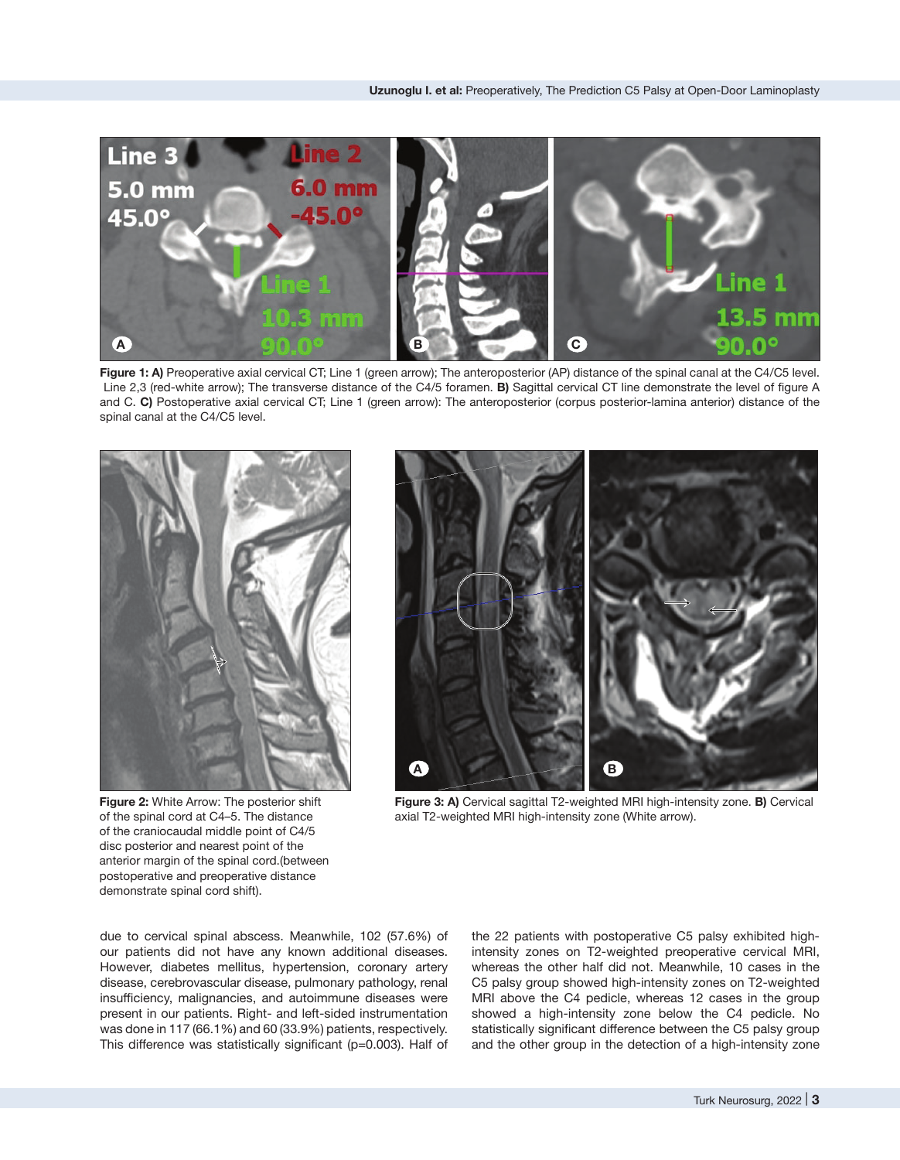

**Figure 1: A)** Preoperative axial cervical CT; Line 1 (green arrow); The anteroposterior (AP) distance of the spinal canal at the C4/C5 level. Line 2,3 (red-white arrow); The transverse distance of the C4/5 foramen. **B)** Sagittal cervical CT line demonstrate the level of figure A and C. **C)** Postoperative axial cervical CT; Line 1 (green arrow): The anteroposterior (corpus posterior-lamina anterior) distance of the spinal canal at the C4/C5 level.



**Figure 2:** White Arrow: The posterior shift of the spinal cord at C4–5. The distance of the craniocaudal middle point of C4/5 disc posterior and nearest point of the anterior margin of the spinal cord.(between postoperative and preoperative distance demonstrate spinal cord shift).



**Figure 3: A)** Cervical sagittal T2-weighted MRI high-intensity zone. **B)** Cervical axial T2-weighted MRI high-intensity zone (White arrow).

due to cervical spinal abscess. Meanwhile, 102 (57.6%) of our patients did not have any known additional diseases. However, diabetes mellitus, hypertension, coronary artery disease, cerebrovascular disease, pulmonary pathology, renal insufficiency, malignancies, and autoimmune diseases were present in our patients. Right- and left-sided instrumentation was done in 117 (66.1%) and 60 (33.9%) patients, respectively. This difference was statistically significant (p=0.003). Half of the 22 patients with postoperative C5 palsy exhibited highintensity zones on T2-weighted preoperative cervical MRI, whereas the other half did not. Meanwhile, 10 cases in the C5 palsy group showed high-intensity zones on T2-weighted MRI above the C4 pedicle, whereas 12 cases in the group showed a high-intensity zone below the C4 pedicle. No statistically significant difference between the C5 palsy group and the other group in the detection of a high-intensity zone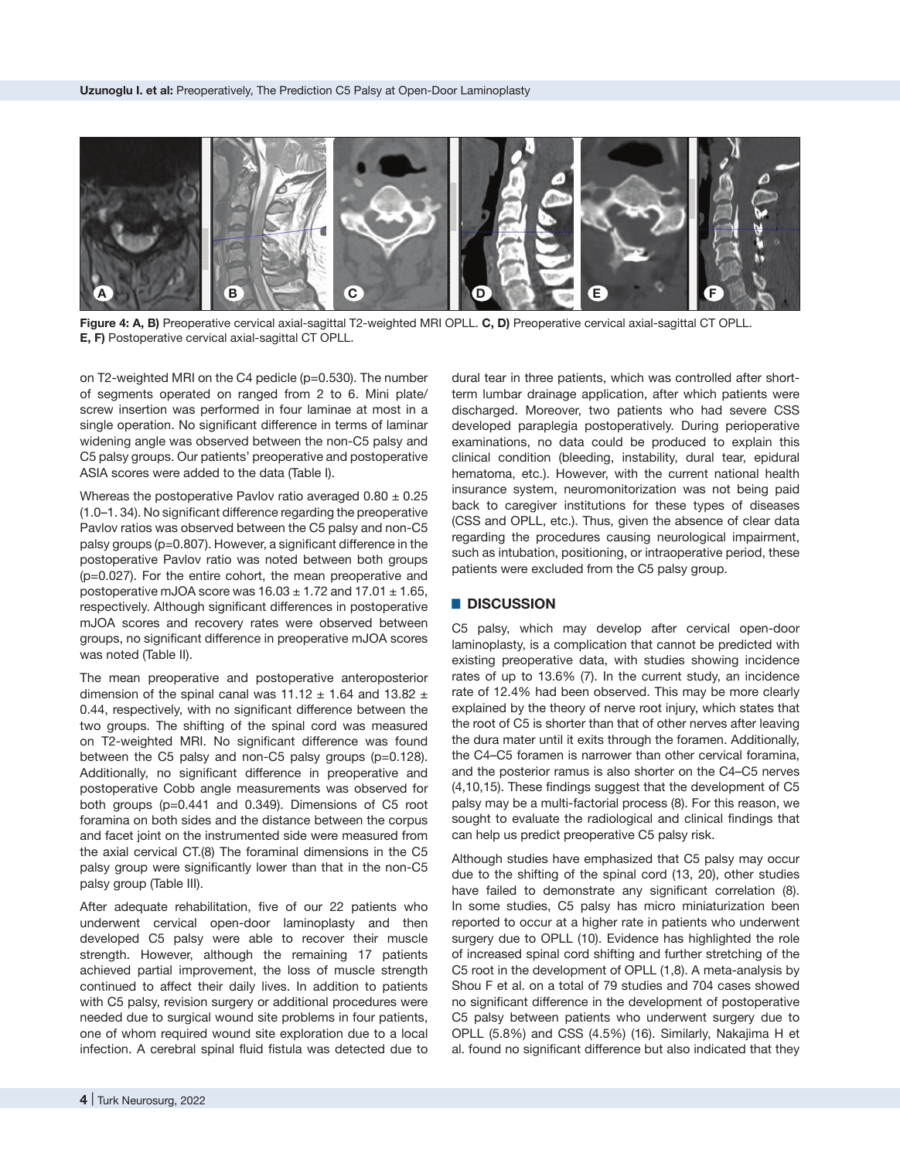

**Figure 4: A, B)** Preoperative cervical axial-sagittal T2-weighted MRI OPLL. **C, D)** Preoperative cervical axial-sagittal CT OPLL. **E, F)** Postoperative cervical axial-sagittal CT OPLL.

on T2-weighted MRI on the C4 pedicle (p=0.530). The number of segments operated on ranged from 2 to 6. Mini plate/ screw insertion was performed in four laminae at most in a single operation. No significant difference in terms of laminar widening angle was observed between the non-C5 palsy and C5 palsy groups. Our patients' preoperative and postoperative ASIA scores were added to the data (Table I).

Whereas the postoperative Pavlov ratio averaged  $0.80 \pm 0.25$ (1.0–1. 34). No significant difference regarding the preoperative Pavlov ratios was observed between the C5 palsy and non-C5 palsy groups (p=0.807). However, a significant difference in the postoperative Pavlov ratio was noted between both groups (p=0.027). For the entire cohort, the mean preoperative and postoperative mJOA score was  $16.03 \pm 1.72$  and  $17.01 \pm 1.65$ , respectively. Although significant differences in postoperative mJOA scores and recovery rates were observed between groups, no significant difference in preoperative mJOA scores was noted (Table II).

The mean preoperative and postoperative anteroposterior dimension of the spinal canal was  $11.12 \pm 1.64$  and  $13.82 \pm 1.64$ 0.44, respectively, with no significant difference between the two groups. The shifting of the spinal cord was measured on T2-weighted MRI. No significant difference was found between the C5 palsy and non-C5 palsy groups (p=0.128). Additionally, no significant difference in preoperative and postoperative Cobb angle measurements was observed for both groups (p=0.441 and 0.349). Dimensions of C5 root foramina on both sides and the distance between the corpus and facet joint on the instrumented side were measured from the axial cervical CT.(8) The foraminal dimensions in the C5 palsy group were significantly lower than that in the non-C5 palsy group (Table III).

After adequate rehabilitation, five of our 22 patients who underwent cervical open-door laminoplasty and then developed C5 palsy were able to recover their muscle strength. However, although the remaining 17 patients achieved partial improvement, the loss of muscle strength continued to affect their daily lives. In addition to patients with C5 palsy, revision surgery or additional procedures were needed due to surgical wound site problems in four patients, one of whom required wound site exploration due to a local infection. A cerebral spinal fluid fistula was detected due to

dural tear in three patients, which was controlled after shortterm lumbar drainage application, after which patients were discharged. Moreover, two patients who had severe CSS developed paraplegia postoperatively. During perioperative examinations, no data could be produced to explain this clinical condition (bleeding, instability, dural tear, epidural hematoma, etc.). However, with the current national health insurance system, neuromonitorization was not being paid back to caregiver institutions for these types of diseases (CSS and OPLL, etc.). Thus, given the absence of clear data regarding the procedures causing neurological impairment, such as intubation, positioning, or intraoperative period, these patients were excluded from the C5 palsy group.

#### █ **DISCUSSION**

C5 palsy, which may develop after cervical open-door laminoplasty, is a complication that cannot be predicted with existing preoperative data, with studies showing incidence rates of up to 13.6% (7). In the current study, an incidence rate of 12.4% had been observed. This may be more clearly explained by the theory of nerve root injury, which states that the root of C5 is shorter than that of other nerves after leaving the dura mater until it exits through the foramen. Additionally, the C4–C5 foramen is narrower than other cervical foramina, and the posterior ramus is also shorter on the C4–C5 nerves (4,10,15). These findings suggest that the development of C5 palsy may be a multi-factorial process (8). For this reason, we sought to evaluate the radiological and clinical findings that can help us predict preoperative C5 palsy risk.

Although studies have emphasized that C5 palsy may occur due to the shifting of the spinal cord (13, 20), other studies have failed to demonstrate any significant correlation (8). In some studies, C5 palsy has micro miniaturization been reported to occur at a higher rate in patients who underwent surgery due to OPLL (10). Evidence has highlighted the role of increased spinal cord shifting and further stretching of the C5 root in the development of OPLL (1,8). A meta-analysis by Shou F et al. on a total of 79 studies and 704 cases showed no significant difference in the development of postoperative C5 palsy between patients who underwent surgery due to OPLL (5.8%) and CSS (4.5%) (16). Similarly, Nakajima H et al. found no significant difference but also indicated that they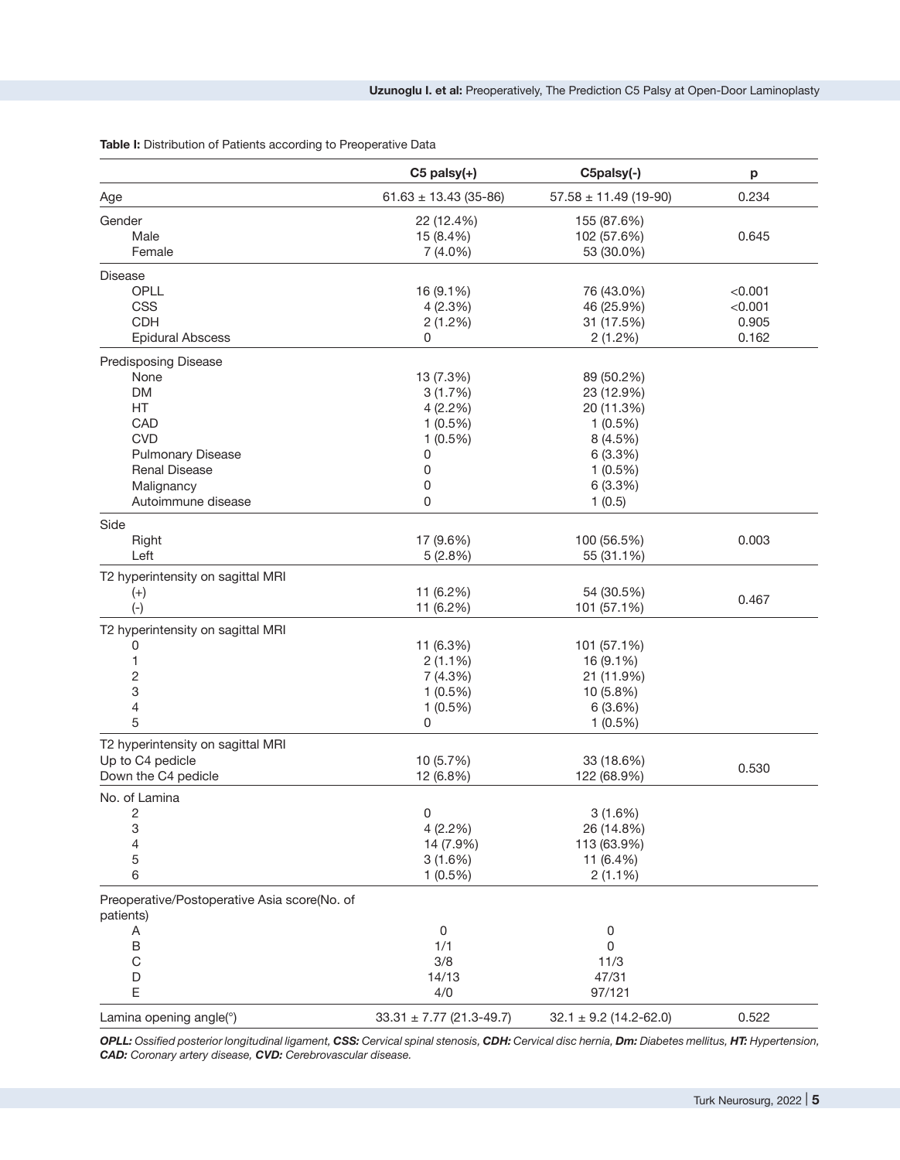**Table I:** Distribution of Patients according to Preoperative Data

|                                                           | $C5$ palsy $(+)$             | C5palsy(-)                 | p       |
|-----------------------------------------------------------|------------------------------|----------------------------|---------|
| Age                                                       | $61.63 \pm 13.43$ (35-86)    | $57.58 \pm 11.49$ (19-90)  | 0.234   |
| Gender                                                    | 22 (12.4%)                   | 155 (87.6%)                |         |
| Male                                                      | 15 (8.4%)                    | 102 (57.6%)                | 0.645   |
| Female                                                    | 7 (4.0%)                     | 53 (30.0%)                 |         |
| Disease                                                   |                              |                            |         |
| OPLL                                                      | 16 (9.1%)                    | 76 (43.0%)                 | < 0.001 |
| <b>CSS</b>                                                | 4(2.3%)                      | 46 (25.9%)                 | < 0.001 |
| <b>CDH</b>                                                | 2(1.2%)                      | 31 (17.5%)                 | 0.905   |
| <b>Epidural Abscess</b>                                   | 0                            | 2(1.2%)                    | 0.162   |
| <b>Predisposing Disease</b>                               |                              |                            |         |
| None                                                      | 13 (7.3%)                    | 89 (50.2%)                 |         |
| <b>DM</b>                                                 | 3(1.7%)                      | 23 (12.9%)                 |         |
| HT                                                        | 4(2.2%)                      | 20 (11.3%)                 |         |
| CAD                                                       | $1(0.5\%)$                   | $1(0.5\%)$                 |         |
| <b>CVD</b>                                                | $1(0.5\%)$                   | 8(4.5%)                    |         |
| <b>Pulmonary Disease</b>                                  | 0                            | 6(3.3%)                    |         |
| <b>Renal Disease</b>                                      | 0                            | $1(0.5\%)$                 |         |
| Malignancy                                                | 0                            | 6(3.3%)                    |         |
| Autoimmune disease                                        | 0                            | 1(0.5)                     |         |
| Side                                                      |                              |                            |         |
| Right                                                     | 17 (9.6%)                    | 100 (56.5%)                | 0.003   |
| Left                                                      | 5(2.8%)                      | 55 (31.1%)                 |         |
| T2 hyperintensity on sagittal MRI                         |                              |                            |         |
| $^{(+)}$                                                  | 11 (6.2%)                    | 54 (30.5%)                 | 0.467   |
| $(-)$                                                     | 11 (6.2%)                    | 101 (57.1%)                |         |
| T2 hyperintensity on sagittal MRI                         |                              |                            |         |
| 0                                                         | 11 (6.3%)                    | 101 (57.1%)                |         |
| 1                                                         | $2(1.1\%)$                   | 16 (9.1%)                  |         |
| 2                                                         | 7(4.3%)                      | 21 (11.9%)                 |         |
| 3                                                         | $1(0.5\%)$                   | 10 (5.8%)                  |         |
| 4                                                         | $1(0.5\%)$                   | 6(3.6%)                    |         |
| 5                                                         | 0                            | $1(0.5\%)$                 |         |
| T2 hyperintensity on sagittal MRI                         |                              |                            |         |
| Up to C4 pedicle                                          | 10 (5.7%)                    | 33 (18.6%)                 | 0.530   |
| Down the C4 pedicle                                       | 12 (6.8%)                    | 122 (68.9%)                |         |
| No. of Lamina                                             |                              |                            |         |
| 2                                                         | 0                            | 3(1.6%)                    |         |
| 3                                                         | 4(2.2%)                      | 26 (14.8%)                 |         |
| 4                                                         | 14 (7.9%)                    | 113 (63.9%)                |         |
| 5<br>6                                                    | 3(1.6%)<br>$1(0.5\%)$        | 11 (6.4%)<br>$2(1.1\%)$    |         |
|                                                           |                              |                            |         |
| Preoperative/Postoperative Asia score(No. of<br>patients) |                              |                            |         |
| Α                                                         | 0                            | 0                          |         |
| B                                                         | 1/1                          | 0                          |         |
| $\mathsf C$                                               | 3/8                          | 11/3                       |         |
| D                                                         | 14/13                        | 47/31                      |         |
| E                                                         | 4/0                          | 97/121                     |         |
| Lamina opening angle(°)                                   | $33.31 \pm 7.77$ (21.3-49.7) | $32.1 \pm 9.2$ (14.2-62.0) | 0.522   |

*OPLL: Ossified posterior longitudinal ligament, CSS: Cervical spinal stenosis, CDH: Cervical disc hernia, Dm: Diabetes mellitus, HT: Hypertension, CAD: Coronary artery disease, CVD: Cerebrovascular disease.*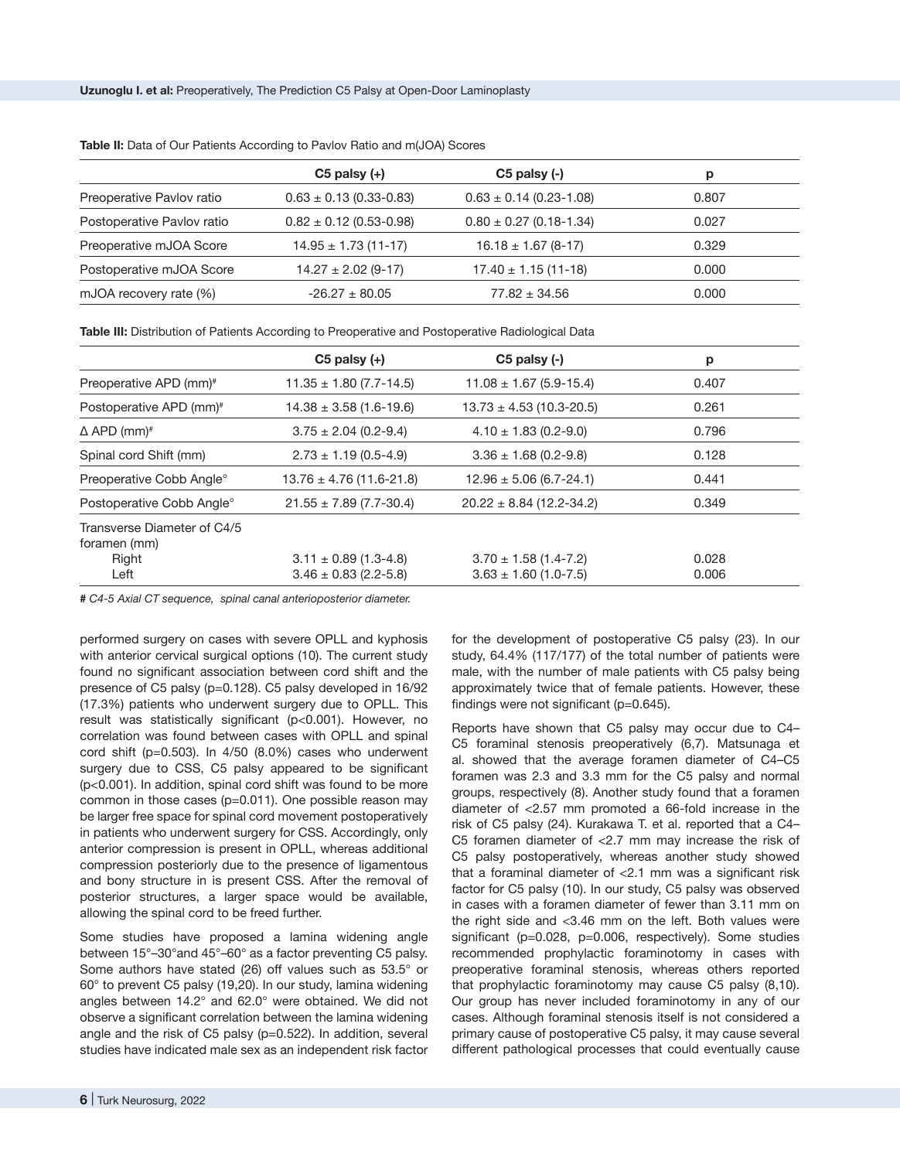|                            | $C5$ palsy $(+)$            | $C5$ palsy $(-)$            | р     |
|----------------------------|-----------------------------|-----------------------------|-------|
| Preoperative Pavlov ratio  | $0.63 \pm 0.13$ (0.33-0.83) | $0.63 \pm 0.14$ (0.23-1.08) | 0.807 |
| Postoperative Pavlov ratio | $0.82 \pm 0.12$ (0.53-0.98) | $0.80 \pm 0.27$ (0.18-1.34) | 0.027 |
| Preoperative mJOA Score    | $14.95 \pm 1.73$ (11-17)    | $16.18 \pm 1.67$ (8-17)     | 0.329 |
| Postoperative mJOA Score   | $14.27 \pm 2.02$ (9-17)     | $17.40 \pm 1.15(11-18)$     | 0.000 |
| mJOA recovery rate (%)     | $-26.27 \pm 80.05$          | $77.82 \pm 34.56$           | 0.000 |
|                            |                             |                             |       |

**Table II:** Data of Our Patients According to Pavlov Ratio and m(JOA) Scores

**Table III:** Distribution of Patients According to Preoperative and Postoperative Radiological Data

|                                             | $C5$ palsy $(+)$             | $C5$ palsy $(-)$             | p     |
|---------------------------------------------|------------------------------|------------------------------|-------|
| Preoperative APD (mm) <sup>#</sup>          | $11.35 \pm 1.80$ (7.7-14.5)  | $11.08 \pm 1.67$ (5.9-15.4)  | 0.407 |
| Postoperative APD (mm) <sup>#</sup>         | $14.38 \pm 3.58$ (1.6-19.6)  | $13.73 \pm 4.53$ (10.3-20.5) | 0.261 |
| $\Delta$ APD (mm) <sup>#</sup>              | $3.75 \pm 2.04$ (0.2-9.4)    | $4.10 \pm 1.83$ (0.2-9.0)    | 0.796 |
| Spinal cord Shift (mm)                      | $2.73 \pm 1.19$ (0.5-4.9)    | $3.36 \pm 1.68$ (0.2-9.8)    | 0.128 |
| Preoperative Cobb Angle°                    | $13.76 \pm 4.76$ (11.6-21.8) | $12.96 \pm 5.06$ (6.7-24.1)  | 0.441 |
| Postoperative Cobb Angle°                   | $21.55 \pm 7.89$ (7.7-30.4)  | $20.22 \pm 8.84$ (12.2-34.2) | 0.349 |
| Transverse Diameter of C4/5<br>foramen (mm) |                              |                              |       |
| Right                                       | $3.11 \pm 0.89$ (1.3-4.8)    | $3.70 \pm 1.58$ (1.4-7.2)    | 0.028 |
| Left                                        | $3.46 \pm 0.83$ (2.2-5.8)    | $3.63 \pm 1.60$ (1.0-7.5)    | 0.006 |

*# C4-5 Axial CT sequence, spinal canal anterioposterior diameter.*

performed surgery on cases with severe OPLL and kyphosis with anterior cervical surgical options (10). The current study found no significant association between cord shift and the presence of C5 palsy (p=0.128). C5 palsy developed in 16/92 (17.3%) patients who underwent surgery due to OPLL. This result was statistically significant (p<0.001). However, no correlation was found between cases with OPLL and spinal cord shift (p=0.503). In 4/50 (8.0%) cases who underwent surgery due to CSS, C5 palsy appeared to be significant (p<0.001). In addition, spinal cord shift was found to be more common in those cases (p=0.011). One possible reason may be larger free space for spinal cord movement postoperatively in patients who underwent surgery for CSS. Accordingly, only anterior compression is present in OPLL, whereas additional compression posteriorly due to the presence of ligamentous and bony structure in is present CSS. After the removal of posterior structures, a larger space would be available, allowing the spinal cord to be freed further.

Some studies have proposed a lamina widening angle between 15°–30°and 45°–60° as a factor preventing C5 palsy. Some authors have stated (26) off values such as 53.5° or 60° to prevent C5 palsy (19,20). In our study, lamina widening angles between 14.2° and 62.0° were obtained. We did not observe a significant correlation between the lamina widening angle and the risk of C5 palsy (p=0.522). In addition, several studies have indicated male sex as an independent risk factor

for the development of postoperative C5 palsy (23). In our study, 64.4% (117/177) of the total number of patients were male, with the number of male patients with C5 palsy being approximately twice that of female patients. However, these findings were not significant (p=0.645).

Reports have shown that C5 palsy may occur due to C4– C5 foraminal stenosis preoperatively (6,7). Matsunaga et al. showed that the average foramen diameter of C4–C5 foramen was 2.3 and 3.3 mm for the C5 palsy and normal groups, respectively (8). Another study found that a foramen diameter of <2.57 mm promoted a 66-fold increase in the risk of C5 palsy (24). Kurakawa T. et al. reported that a C4– C5 foramen diameter of <2.7 mm may increase the risk of C5 palsy postoperatively, whereas another study showed that a foraminal diameter of <2.1 mm was a significant risk factor for C5 palsy (10). In our study, C5 palsy was observed in cases with a foramen diameter of fewer than 3.11 mm on the right side and <3.46 mm on the left. Both values were significant (p=0.028, p=0.006, respectively). Some studies recommended prophylactic foraminotomy in cases with preoperative foraminal stenosis, whereas others reported that prophylactic foraminotomy may cause C5 palsy (8,10). Our group has never included foraminotomy in any of our cases. Although foraminal stenosis itself is not considered a primary cause of postoperative C5 palsy, it may cause several different pathological processes that could eventually cause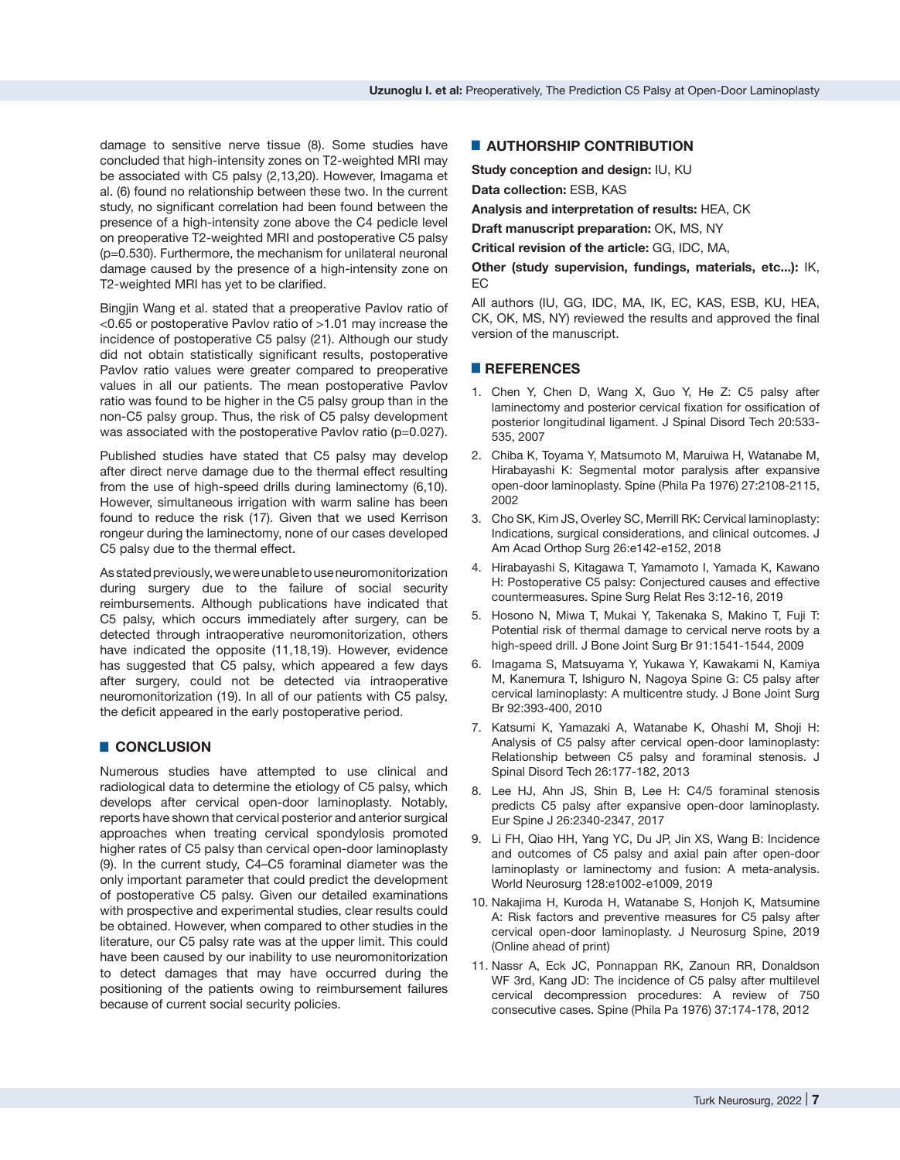damage to sensitive nerve tissue (8). Some studies have concluded that high-intensity zones on T2-weighted MRI may be associated with C5 palsy (2,13,20). However, Imagama et al. (6) found no relationship between these two. In the current study, no significant correlation had been found between the presence of a high-intensity zone above the C4 pedicle level on preoperative T2-weighted MRI and postoperative C5 palsy (p=0.530). Furthermore, the mechanism for unilateral neuronal damage caused by the presence of a high-intensity zone on T2-weighted MRI has yet to be clarified.

Bingjin Wang et al. stated that a preoperative Pavlov ratio of <0.65 or postoperative Pavlov ratio of >1.01 may increase the incidence of postoperative C5 palsy (21). Although our study did not obtain statistically significant results, postoperative Pavlov ratio values were greater compared to preoperative values in all our patients. The mean postoperative Pavlov ratio was found to be higher in the C5 palsy group than in the non-C5 palsy group. Thus, the risk of C5 palsy development was associated with the postoperative Pavlov ratio (p=0.027).

Published studies have stated that C5 palsy may develop after direct nerve damage due to the thermal effect resulting from the use of high-speed drills during laminectomy (6,10). However, simultaneous irrigation with warm saline has been found to reduce the risk (17). Given that we used Kerrison rongeur during the laminectomy, none of our cases developed C5 palsy due to the thermal effect.

As stated previously, we were unable to use neuromonitorization during surgery due to the failure of social security reimbursements. Although publications have indicated that C5 palsy, which occurs immediately after surgery, can be detected through intraoperative neuromonitorization, others have indicated the opposite (11,18,19). However, evidence has suggested that C5 palsy, which appeared a few days after surgery, could not be detected via intraoperative neuromonitorization (19). In all of our patients with C5 palsy, the deficit appeared in the early postoperative period.

### █ **CONCLUSION**

Numerous studies have attempted to use clinical and radiological data to determine the etiology of C5 palsy, which develops after cervical open-door laminoplasty. Notably, reports have shown that cervical posterior and anterior surgical approaches when treating cervical spondylosis promoted higher rates of C5 palsy than cervical open-door laminoplasty (9). In the current study, C4–C5 foraminal diameter was the only important parameter that could predict the development of postoperative C5 palsy. Given our detailed examinations with prospective and experimental studies, clear results could be obtained. However, when compared to other studies in the literature, our C5 palsy rate was at the upper limit. This could have been caused by our inability to use neuromonitorization to detect damages that may have occurred during the positioning of the patients owing to reimbursement failures because of current social security policies.

#### **E** AUTHORSHIP CONTRIBUTION

**Study conception and design:** IU, KU

**Data collection:** ESB, KAS

**Analysis and interpretation of results:** HEA, CK

**Draft manuscript preparation:** OK, MS, NY

**Critical revision of the article:** GG, IDC, MA,

**Other (study supervision, fundings, materials, etc...):** IK, EC

All authors (IU, GG, IDC, MA, IK, EC, KAS, ESB, KU, HEA, CK, OK, MS, NY) reviewed the results and approved the final version of the manuscript.

## █ **REFERENCES**

- 1. Chen Y, Chen D, Wang X, Guo Y, He Z: C5 palsy after laminectomy and posterior cervical fixation for ossification of posterior longitudinal ligament. J Spinal Disord Tech 20:533- 535, 2007
- 2. Chiba K, Toyama Y, Matsumoto M, Maruiwa H, Watanabe M, Hirabayashi K: Segmental motor paralysis after expansive open-door laminoplasty. Spine (Phila Pa 1976) 27:2108-2115, 2002
- 3. Cho SK, Kim JS, Overley SC, Merrill RK: Cervical laminoplasty: Indications, surgical considerations, and clinical outcomes. J Am Acad Orthop Surg 26:e142-e152, 2018
- 4. Hirabayashi S, Kitagawa T, Yamamoto I, Yamada K, Kawano H: Postoperative C5 palsy: Conjectured causes and effective countermeasures. Spine Surg Relat Res 3:12-16, 2019
- 5. Hosono N, Miwa T, Mukai Y, Takenaka S, Makino T, Fuji T: Potential risk of thermal damage to cervical nerve roots by a high-speed drill. J Bone Joint Surg Br 91:1541-1544, 2009
- 6. Imagama S, Matsuyama Y, Yukawa Y, Kawakami N, Kamiya M, Kanemura T, Ishiguro N, Nagoya Spine G: C5 palsy after cervical laminoplasty: A multicentre study. J Bone Joint Surg Br 92:393-400, 2010
- 7. Katsumi K, Yamazaki A, Watanabe K, Ohashi M, Shoji H: Analysis of C5 palsy after cervical open-door laminoplasty: Relationship between C5 palsy and foraminal stenosis. J Spinal Disord Tech 26:177-182, 2013
- 8. Lee HJ, Ahn JS, Shin B, Lee H: C4/5 foraminal stenosis predicts C5 palsy after expansive open-door laminoplasty. Eur Spine J 26:2340-2347, 2017
- 9. Li FH, Qiao HH, Yang YC, Du JP, Jin XS, Wang B: Incidence and outcomes of C5 palsy and axial pain after open-door laminoplasty or laminectomy and fusion: A meta-analysis. World Neurosurg 128:e1002-e1009, 2019
- 10. Nakajima H, Kuroda H, Watanabe S, Honjoh K, Matsumine A: Risk factors and preventive measures for C5 palsy after cervical open-door laminoplasty. J Neurosurg Spine, 2019 (Online ahead of print)
- 11. Nassr A, Eck JC, Ponnappan RK, Zanoun RR, Donaldson WF 3rd, Kang JD: The incidence of C5 palsy after multilevel cervical decompression procedures: A review of 750 consecutive cases. Spine (Phila Pa 1976) 37:174-178, 2012